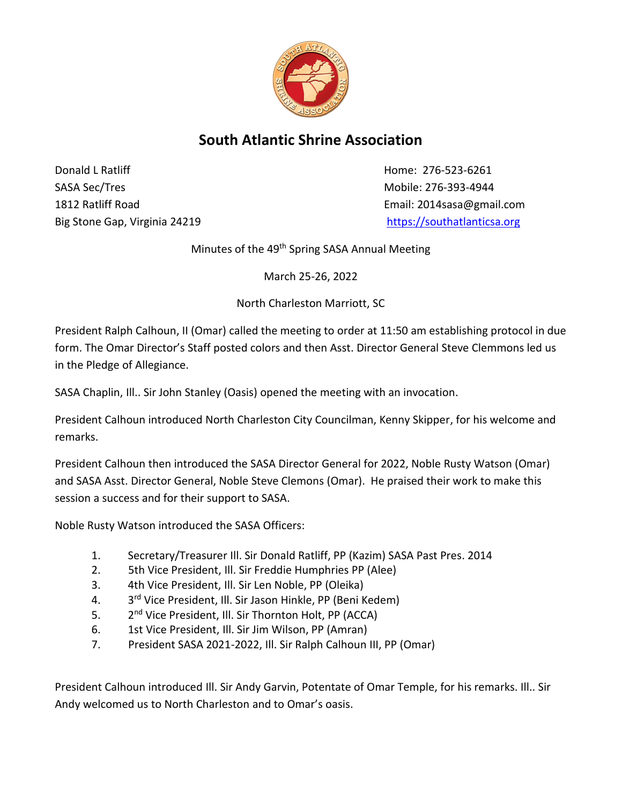

## **South Atlantic Shrine Association**

**Donald L Ratliff Home: 276-523-6261** SASA Sec/Tres and the control of the control of the Mobile: 276-393-4944 1812 Ratliff Road Email: 2014sasa@gmail.com Big Stone Gap, Virginia 24219 [https://southatlanticsa.org](https://southatlanticsa.org/)

Minutes of the 49<sup>th</sup> Spring SASA Annual Meeting

March 25-26, 2022

North Charleston Marriott, SC

President Ralph Calhoun, II (Omar) called the meeting to order at 11:50 am establishing protocol in due form. The Omar Director's Staff posted colors and then Asst. Director General Steve Clemmons led us in the Pledge of Allegiance.

SASA Chaplin, Ill.. Sir John Stanley (Oasis) opened the meeting with an invocation.

President Calhoun introduced North Charleston City Councilman, Kenny Skipper, for his welcome and remarks.

President Calhoun then introduced the SASA Director General for 2022, Noble Rusty Watson (Omar) and SASA Asst. Director General, Noble Steve Clemons (Omar). He praised their work to make this session a success and for their support to SASA.

Noble Rusty Watson introduced the SASA Officers:

- 1. Secretary/Treasurer Ill. Sir Donald Ratliff, PP (Kazim) SASA Past Pres. 2014
- 2. 5th Vice President, Ill. Sir Freddie Humphries PP (Alee)
- 3. 4th Vice President, Ill. Sir Len Noble, PP (Oleika)
- 4. 3<sup>rd</sup> Vice President, Ill. Sir Jason Hinkle, PP (Beni Kedem)
- $5.$ 2<sup>nd</sup> Vice President, Ill. Sir Thornton Holt, PP (ACCA)
- 6. 1st Vice President, Ill. Sir Jim Wilson, PP (Amran)
- 7. President SASA 2021-2022, Ill. Sir Ralph Calhoun III, PP (Omar)

President Calhoun introduced Ill. Sir Andy Garvin, Potentate of Omar Temple, for his remarks. Ill.. Sir Andy welcomed us to North Charleston and to Omar's oasis.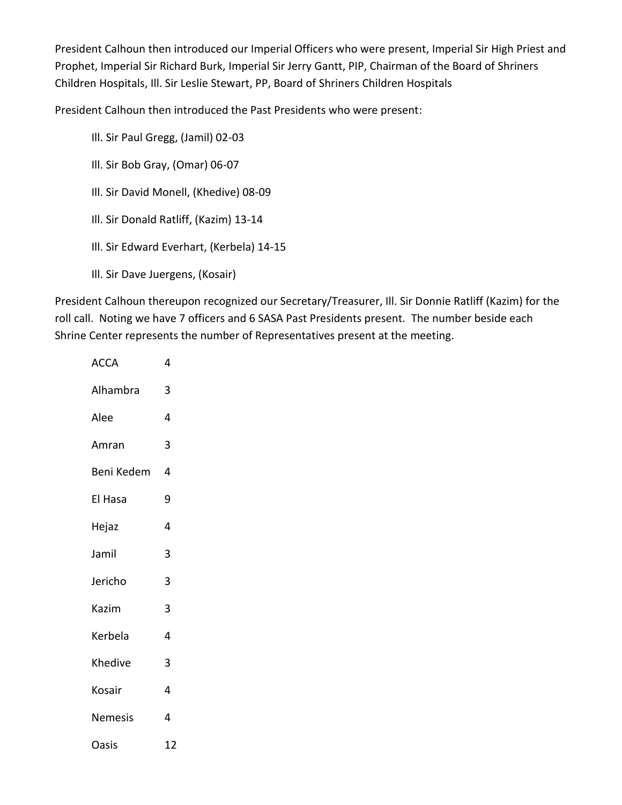President Calhoun then introduced our Imperial Officers who were present, Imperial Sir High Priest and Prophet, Imperial Sir Richard Burk, Imperial Sir Jerry Gantt, PIP, Chairman of the Board of Shriners Children Hospitals, Ill. Sir Leslie Stewart, PP, Board of Shriners Children Hospitals

President Calhoun then introduced the Past Presidents who were present:

Ill. Sir Paul Gregg, (Jamil) 02-03

Ill. Sir Bob Gray, (Omar) 06-07

Ill. Sir David Monell, (Khedive) 08-09

- Ill. Sir Donald Ratliff, (Kazim) 13-14
- Ill. Sir Edward Everhart, (Kerbela) 14-15
- Ill. Sir Dave Juergens, (Kosair)

President Calhoun thereupon recognized our Secretary/Treasurer, Ill. Sir Donnie Ratliff (Kazim) for the roll call. Noting we have 7 officers and 6 SASA Past Presidents present. The number beside each Shrine Center represents the number of Representatives present at the meeting.

| <b>ACCA</b>    | 4  |
|----------------|----|
| Alhambra       | 3  |
| Alee           | 4  |
| Amran          | 3  |
| Beni Kedem     | 4  |
| El Hasa        | 9  |
| Hejaz          | 4  |
| Jamil          | 3  |
| Jericho        | 3  |
| Kazim          | 3  |
| Kerbela        | 4  |
| Khedive        | 3  |
| Kosair         | 4  |
| <b>Nemesis</b> | 4  |
| Oasis          | 12 |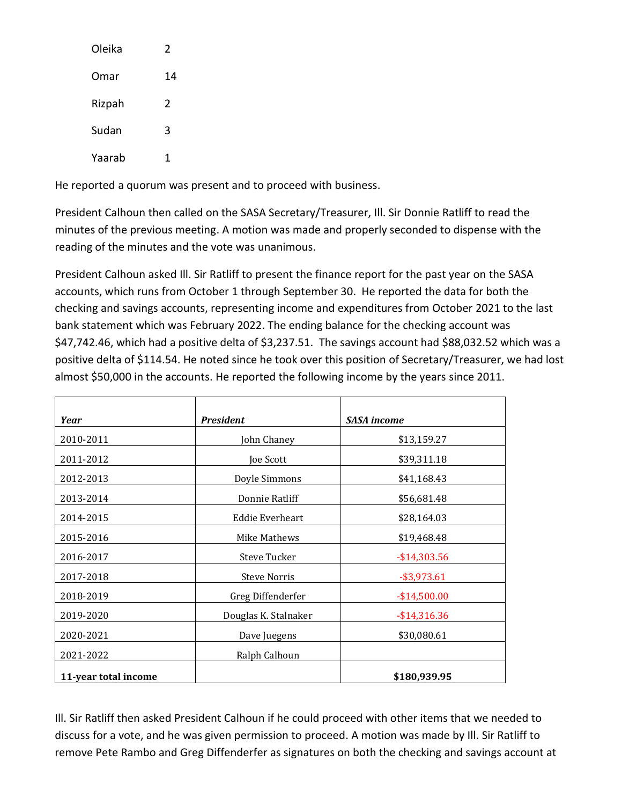| Oleika | 2  |
|--------|----|
| Omar   | 14 |
| Rizpah | 2  |
| Sudan  | 3  |
| Yaarab |    |

He reported a quorum was present and to proceed with business.

President Calhoun then called on the SASA Secretary/Treasurer, Ill. Sir Donnie Ratliff to read the minutes of the previous meeting. A motion was made and properly seconded to dispense with the reading of the minutes and the vote was unanimous.

President Calhoun asked Ill. Sir Ratliff to present the finance report for the past year on the SASA accounts, which runs from October 1 through September 30. He reported the data for both the checking and savings accounts, representing income and expenditures from October 2021 to the last bank statement which was February 2022. The ending balance for the checking account was \$47,742.46, which had a positive delta of \$3,237.51. The savings account had \$88,032.52 which was a positive delta of \$114.54. He noted since he took over this position of Secretary/Treasurer, we had lost almost \$50,000 in the accounts. He reported the following income by the years since 2011.

| Year                 | <b>President</b>     | <b>SASA</b> income |
|----------------------|----------------------|--------------------|
| 2010-2011            | John Chaney          | \$13,159.27        |
| 2011-2012            | Joe Scott            | \$39,311.18        |
| 2012-2013            | Doyle Simmons        | \$41,168.43        |
| 2013-2014            | Donnie Ratliff       | \$56,681.48        |
| 2014-2015            | Eddie Everheart      | \$28,164.03        |
| 2015-2016            | Mike Mathews         | \$19,468.48        |
| 2016-2017            | Steve Tucker         | $-$14,303.56$      |
| 2017-2018            | <b>Steve Norris</b>  | $-$ \$3,973.61     |
| 2018-2019            | Greg Diffenderfer    | $-$14,500.00$      |
| 2019-2020            | Douglas K. Stalnaker | $-$ \$14,316.36    |
| 2020-2021            | Dave Juegens         | \$30,080.61        |
| 2021-2022            | Ralph Calhoun        |                    |
| 11-year total income |                      | \$180,939.95       |

Ill. Sir Ratliff then asked President Calhoun if he could proceed with other items that we needed to discuss for a vote, and he was given permission to proceed. A motion was made by Ill. Sir Ratliff to remove Pete Rambo and Greg Diffenderfer as signatures on both the checking and savings account at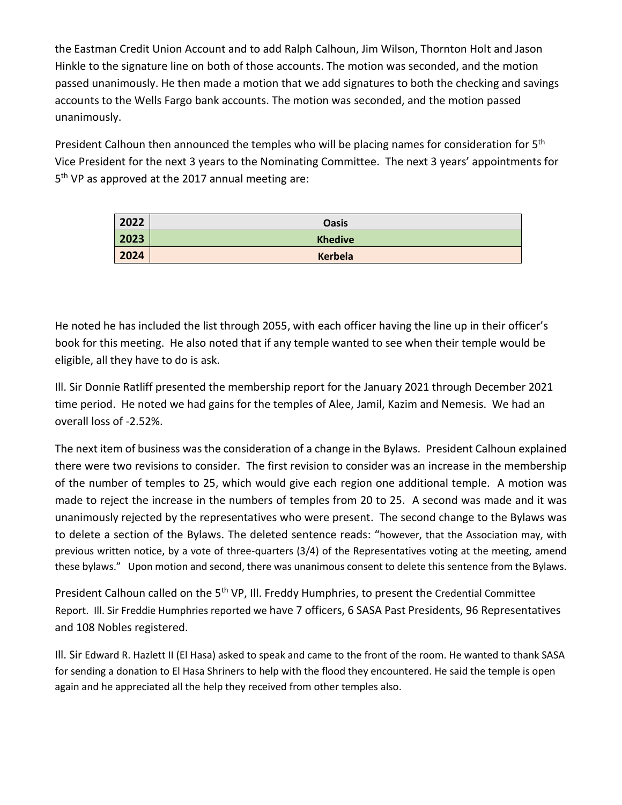the Eastman Credit Union Account and to add Ralph Calhoun, Jim Wilson, Thornton Holt and Jason Hinkle to the signature line on both of those accounts. The motion was seconded, and the motion passed unanimously. He then made a motion that we add signatures to both the checking and savings accounts to the Wells Fargo bank accounts. The motion was seconded, and the motion passed unanimously.

President Calhoun then announced the temples who will be placing names for consideration for 5<sup>th</sup> Vice President for the next 3 years to the Nominating Committee. The next 3 years' appointments for 5<sup>th</sup> VP as approved at the 2017 annual meeting are:

| 2022 | <b>Oasis</b>   |
|------|----------------|
| 2023 | <b>Khedive</b> |
| 2024 | Kerbela        |

He noted he has included the list through 2055, with each officer having the line up in their officer's book for this meeting. He also noted that if any temple wanted to see when their temple would be eligible, all they have to do is ask.

Ill. Sir Donnie Ratliff presented the membership report for the January 2021 through December 2021 time period. He noted we had gains for the temples of Alee, Jamil, Kazim and Nemesis. We had an overall loss of -2.52%.

The next item of business was the consideration of a change in the Bylaws. President Calhoun explained there were two revisions to consider. The first revision to consider was an increase in the membership of the number of temples to 25, which would give each region one additional temple. A motion was made to reject the increase in the numbers of temples from 20 to 25. A second was made and it was unanimously rejected by the representatives who were present. The second change to the Bylaws was to delete a section of the Bylaws. The deleted sentence reads: "however, that the Association may, with previous written notice, by a vote of three-quarters (3/4) of the Representatives voting at the meeting, amend these bylaws." Upon motion and second, there was unanimous consent to delete this sentence from the Bylaws.

President Calhoun called on the 5<sup>th</sup> VP, Ill. Freddy Humphries, to present the Credential Committee Report. Ill. Sir Freddie Humphries reported we have 7 officers, 6 SASA Past Presidents, 96 Representatives and 108 Nobles registered.

Ill. Sir Edward R. Hazlett II (El Hasa) asked to speak and came to the front of the room. He wanted to thank SASA for sending a donation to El Hasa Shriners to help with the flood they encountered. He said the temple is open again and he appreciated all the help they received from other temples also.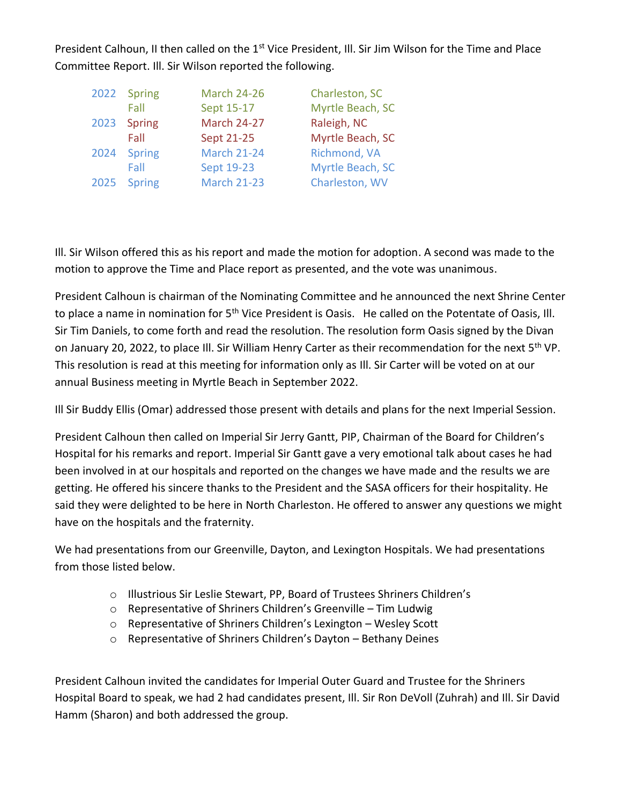President Calhoun, II then called on the 1<sup>st</sup> Vice President, Ill. Sir Jim Wilson for the Time and Place Committee Report. Ill. Sir Wilson reported the following.

|      | 2022 Spring   | <b>March 24-26</b> | Charleston, SC   |
|------|---------------|--------------------|------------------|
|      | Fall          | Sept 15-17         | Myrtle Beach, SC |
| 2023 | Spring        | <b>March 24-27</b> | Raleigh, NC      |
|      | Fall          | Sept 21-25         | Myrtle Beach, SC |
| 2024 | <b>Spring</b> | <b>March 21-24</b> | Richmond, VA     |
|      | Fall          | Sept 19-23         | Myrtle Beach, SC |
| 2025 | <b>Spring</b> | <b>March 21-23</b> | Charleston, WV   |

Ill. Sir Wilson offered this as his report and made the motion for adoption. A second was made to the motion to approve the Time and Place report as presented, and the vote was unanimous.

President Calhoun is chairman of the Nominating Committee and he announced the next Shrine Center to place a name in nomination for 5<sup>th</sup> Vice President is Oasis. He called on the Potentate of Oasis, Ill. Sir Tim Daniels, to come forth and read the resolution. The resolution form Oasis signed by the Divan on January 20, 2022, to place III. Sir William Henry Carter as their recommendation for the next 5<sup>th</sup> VP. This resolution is read at this meeting for information only as Ill. Sir Carter will be voted on at our annual Business meeting in Myrtle Beach in September 2022.

Ill Sir Buddy Ellis (Omar) addressed those present with details and plans for the next Imperial Session.

President Calhoun then called on Imperial Sir Jerry Gantt, PIP, Chairman of the Board for Children's Hospital for his remarks and report. Imperial Sir Gantt gave a very emotional talk about cases he had been involved in at our hospitals and reported on the changes we have made and the results we are getting. He offered his sincere thanks to the President and the SASA officers for their hospitality. He said they were delighted to be here in North Charleston. He offered to answer any questions we might have on the hospitals and the fraternity.

We had presentations from our Greenville, Dayton, and Lexington Hospitals. We had presentations from those listed below.

- o Illustrious Sir Leslie Stewart, PP, Board of Trustees Shriners Children's
- o Representative of Shriners Children's Greenville Tim Ludwig
- o Representative of Shriners Children's Lexington Wesley Scott
- o Representative of Shriners Children's Dayton Bethany Deines

President Calhoun invited the candidates for Imperial Outer Guard and Trustee for the Shriners Hospital Board to speak, we had 2 had candidates present, Ill. Sir Ron DeVoll (Zuhrah) and Ill. Sir David Hamm (Sharon) and both addressed the group.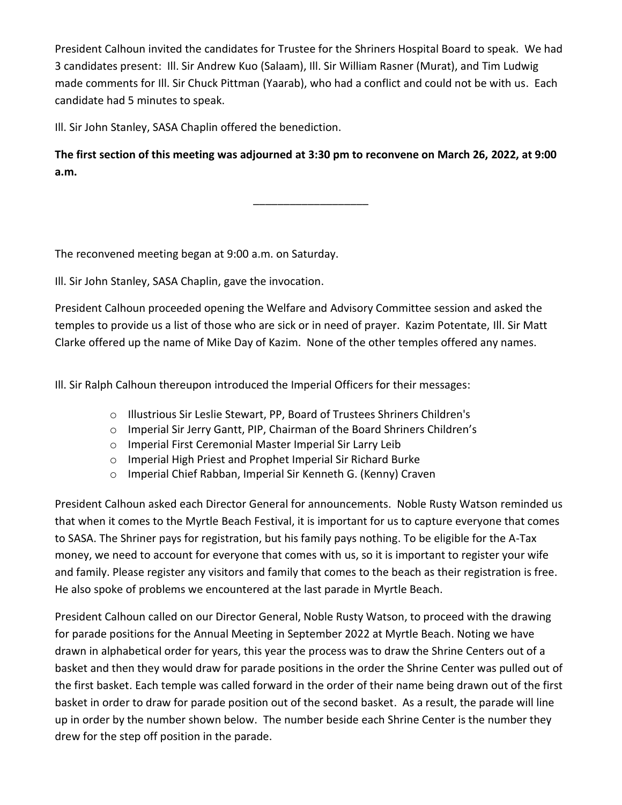President Calhoun invited the candidates for Trustee for the Shriners Hospital Board to speak. We had 3 candidates present: Ill. Sir Andrew Kuo (Salaam), Ill. Sir William Rasner (Murat), and Tim Ludwig made comments for Ill. Sir Chuck Pittman (Yaarab), who had a conflict and could not be with us. Each candidate had 5 minutes to speak.

Ill. Sir John Stanley, SASA Chaplin offered the benediction.

**The first section of this meeting was adjourned at 3:30 pm to reconvene on March 26, 2022, at 9:00 a.m.**

\_\_\_\_\_\_\_\_\_\_\_\_\_\_\_\_\_\_\_

The reconvened meeting began at 9:00 a.m. on Saturday.

Ill. Sir John Stanley, SASA Chaplin, gave the invocation.

President Calhoun proceeded opening the Welfare and Advisory Committee session and asked the temples to provide us a list of those who are sick or in need of prayer. Kazim Potentate, Ill. Sir Matt Clarke offered up the name of Mike Day of Kazim. None of the other temples offered any names.

Ill. Sir Ralph Calhoun thereupon introduced the Imperial Officers for their messages:

- o Illustrious Sir Leslie Stewart, PP, Board of Trustees Shriners Children's
- o Imperial Sir Jerry Gantt, PIP, Chairman of the Board Shriners Children's
- o Imperial First Ceremonial Master Imperial Sir Larry Leib
- o Imperial High Priest and Prophet Imperial Sir Richard Burke
- o Imperial Chief Rabban, Imperial Sir Kenneth G. (Kenny) Craven

President Calhoun asked each Director General for announcements. Noble Rusty Watson reminded us that when it comes to the Myrtle Beach Festival, it is important for us to capture everyone that comes to SASA. The Shriner pays for registration, but his family pays nothing. To be eligible for the A-Tax money, we need to account for everyone that comes with us, so it is important to register your wife and family. Please register any visitors and family that comes to the beach as their registration is free. He also spoke of problems we encountered at the last parade in Myrtle Beach.

President Calhoun called on our Director General, Noble Rusty Watson, to proceed with the drawing for parade positions for the Annual Meeting in September 2022 at Myrtle Beach. Noting we have drawn in alphabetical order for years, this year the process was to draw the Shrine Centers out of a basket and then they would draw for parade positions in the order the Shrine Center was pulled out of the first basket. Each temple was called forward in the order of their name being drawn out of the first basket in order to draw for parade position out of the second basket. As a result, the parade will line up in order by the number shown below. The number beside each Shrine Center is the number they drew for the step off position in the parade.